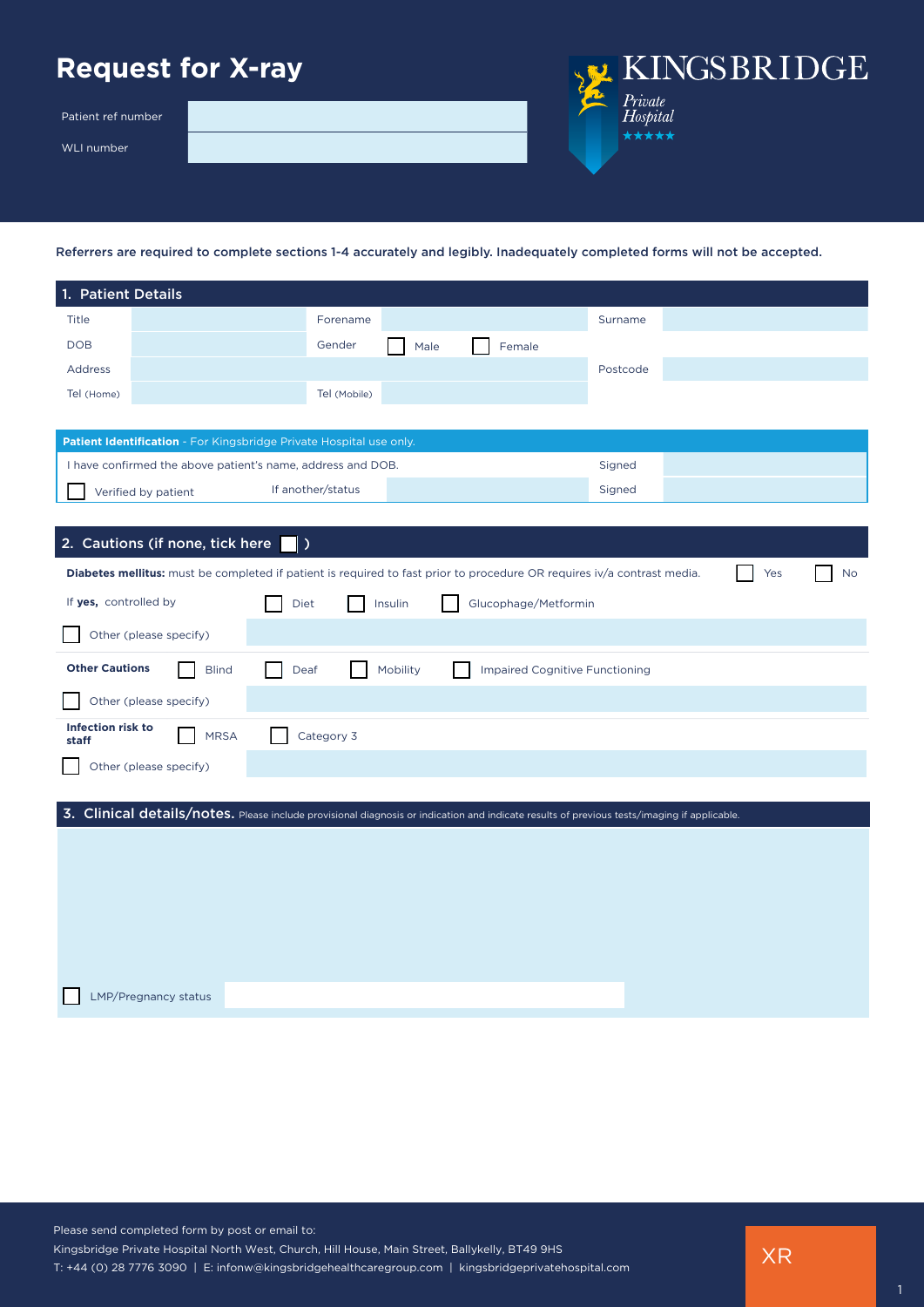## **Request for X-ray**

Patient ref number

WLI number



Referrers are required to complete sections 1-4 accurately and legibly. Inadequately completed forms will not be accepted.

| 1. Patient Details                |                                                                                                                                             |                   |              |          |      |                      |                                       |     |    |
|-----------------------------------|---------------------------------------------------------------------------------------------------------------------------------------------|-------------------|--------------|----------|------|----------------------|---------------------------------------|-----|----|
| Title                             |                                                                                                                                             |                   | Forename     |          |      |                      | Surname                               |     |    |
| <b>DOB</b>                        |                                                                                                                                             |                   | Gender       |          | Male | Female               |                                       |     |    |
| Address                           |                                                                                                                                             |                   |              |          |      |                      | Postcode                              |     |    |
| Tel (Home)                        |                                                                                                                                             |                   | Tel (Mobile) |          |      |                      |                                       |     |    |
|                                   |                                                                                                                                             |                   |              |          |      |                      |                                       |     |    |
|                                   | Patient Identification - For Kingsbridge Private Hospital use only.                                                                         |                   |              |          |      |                      |                                       |     |    |
|                                   | I have confirmed the above patient's name, address and DOB.                                                                                 |                   |              |          |      |                      | Signed                                |     |    |
|                                   | Verified by patient                                                                                                                         | If another/status |              |          |      |                      | Signed                                |     |    |
|                                   |                                                                                                                                             |                   |              |          |      |                      |                                       |     |    |
|                                   | 2. Cautions (if none, tick here                                                                                                             | د ۱               |              |          |      |                      |                                       |     |    |
|                                   | Diabetes mellitus: must be completed if patient is required to fast prior to procedure OR requires iv/a contrast media.                     |                   |              |          |      |                      |                                       | Yes | No |
| If yes, controlled by             |                                                                                                                                             | Diet              |              | Insulin  |      | Glucophage/Metformin |                                       |     |    |
|                                   | Other (please specify)                                                                                                                      |                   |              |          |      |                      |                                       |     |    |
| <b>Other Cautions</b>             | <b>Blind</b>                                                                                                                                | Deaf              |              | Mobility |      |                      | <b>Impaired Cognitive Functioning</b> |     |    |
|                                   | Other (please specify)                                                                                                                      |                   |              |          |      |                      |                                       |     |    |
| <b>Infection risk to</b><br>staff | <b>MRSA</b>                                                                                                                                 |                   | Category 3   |          |      |                      |                                       |     |    |
|                                   | Other (please specify)                                                                                                                      |                   |              |          |      |                      |                                       |     |    |
|                                   |                                                                                                                                             |                   |              |          |      |                      |                                       |     |    |
|                                   | 3. Clinical details/notes. Please include provisional diagnosis or indication and indicate results of previous tests/imaging if applicable. |                   |              |          |      |                      |                                       |     |    |
|                                   |                                                                                                                                             |                   |              |          |      |                      |                                       |     |    |
|                                   |                                                                                                                                             |                   |              |          |      |                      |                                       |     |    |
|                                   |                                                                                                                                             |                   |              |          |      |                      |                                       |     |    |
|                                   |                                                                                                                                             |                   |              |          |      |                      |                                       |     |    |
|                                   |                                                                                                                                             |                   |              |          |      |                      |                                       |     |    |
|                                   |                                                                                                                                             |                   |              |          |      |                      |                                       |     |    |
|                                   | <b>LMP/Pregnancy status</b>                                                                                                                 |                   |              |          |      |                      |                                       |     |    |

XR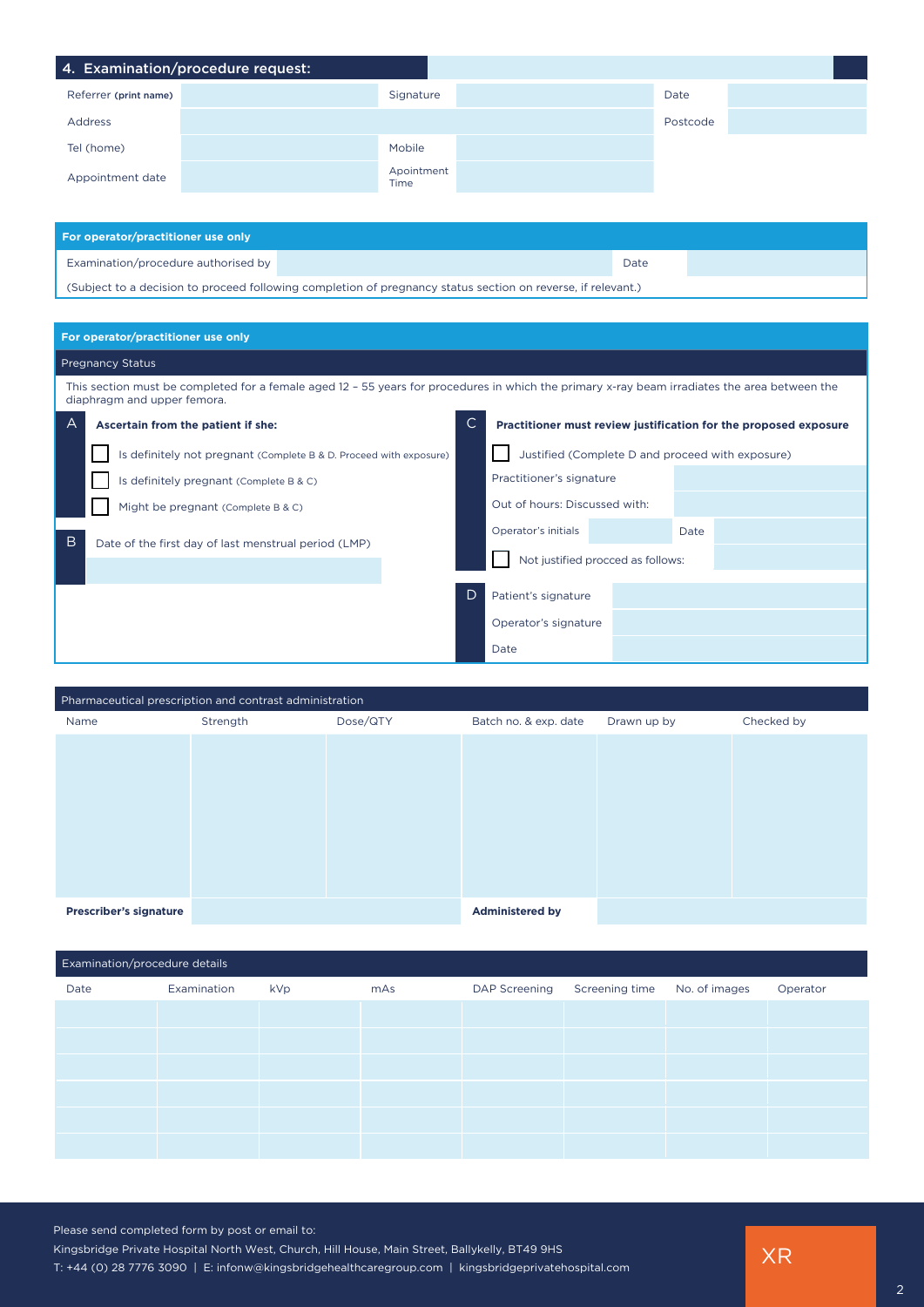|                       | 4. Examination/procedure request: |            |          |
|-----------------------|-----------------------------------|------------|----------|
| Referrer (print name) |                                   | Signature  | Date     |
| <b>Address</b>        |                                   |            | Postcode |
| Tel (home)            |                                   | Mobile     |          |
| Appointment date      | Time                              | Apointment |          |
|                       |                                   |            |          |

| For operator/practitioner use only  |                                                                                                              |      |  |  |  |  |  |
|-------------------------------------|--------------------------------------------------------------------------------------------------------------|------|--|--|--|--|--|
| Examination/procedure authorised by |                                                                                                              | Date |  |  |  |  |  |
|                                     | (Subject to a decision to proceed following completion of pregnancy status section on reverse, if relevant.) |      |  |  |  |  |  |

## **For operator/practitioner use only**

## Pregnancy Status

This section must be completed for a female aged 12 – 55 years for procedures in which the primary x-ray beam irradiates the area between the diaphragm and upper femora.

| $\forall$<br>Ascertain from the patient if she:           |                                                                    |   | $\mathsf{C}$<br>Practitioner must review justification for the proposed exposure |  |      |  |  |
|-----------------------------------------------------------|--------------------------------------------------------------------|---|----------------------------------------------------------------------------------|--|------|--|--|
|                                                           | Is definitely not pregnant (Complete B & D. Proceed with exposure) |   | Justified (Complete D and proceed with exposure)                                 |  |      |  |  |
|                                                           | Is definitely pregnant (Complete B & C)                            |   | Practitioner's signature                                                         |  |      |  |  |
|                                                           | Might be pregnant (Complete B & C)                                 |   | Out of hours: Discussed with:                                                    |  |      |  |  |
| B<br>Date of the first day of last menstrual period (LMP) |                                                                    |   | Operator's initials                                                              |  | Date |  |  |
|                                                           |                                                                    |   | Not justified procced as follows:                                                |  |      |  |  |
|                                                           |                                                                    | D |                                                                                  |  |      |  |  |
|                                                           |                                                                    |   | Patient's signature                                                              |  |      |  |  |
|                                                           |                                                                    |   | Operator's signature                                                             |  |      |  |  |
|                                                           |                                                                    |   | Date                                                                             |  |      |  |  |

| Pharmaceutical prescription and contrast administration |          |          |                        |             |            |  |  |
|---------------------------------------------------------|----------|----------|------------------------|-------------|------------|--|--|
| Name                                                    | Strength | Dose/QTY | Batch no. & exp. date  | Drawn up by | Checked by |  |  |
|                                                         |          |          |                        |             |            |  |  |
|                                                         |          |          |                        |             |            |  |  |
|                                                         |          |          |                        |             |            |  |  |
|                                                         |          |          |                        |             |            |  |  |
|                                                         |          |          |                        |             |            |  |  |
|                                                         |          |          |                        |             |            |  |  |
|                                                         |          |          |                        |             |            |  |  |
|                                                         |          |          |                        |             |            |  |  |
| <b>Prescriber's signature</b>                           |          |          | <b>Administered by</b> |             |            |  |  |

| Examination/procedure details |             |     |     |                      |                              |  |          |
|-------------------------------|-------------|-----|-----|----------------------|------------------------------|--|----------|
| Date                          | Examination | kVp | mAs | <b>DAP Screening</b> | Screening time No. of images |  | Operator |
|                               |             |     |     |                      |                              |  |          |
|                               |             |     |     |                      |                              |  |          |
|                               |             |     |     |                      |                              |  |          |
|                               |             |     |     |                      |                              |  |          |
|                               |             |     |     |                      |                              |  |          |
|                               |             |     |     |                      |                              |  |          |

XR